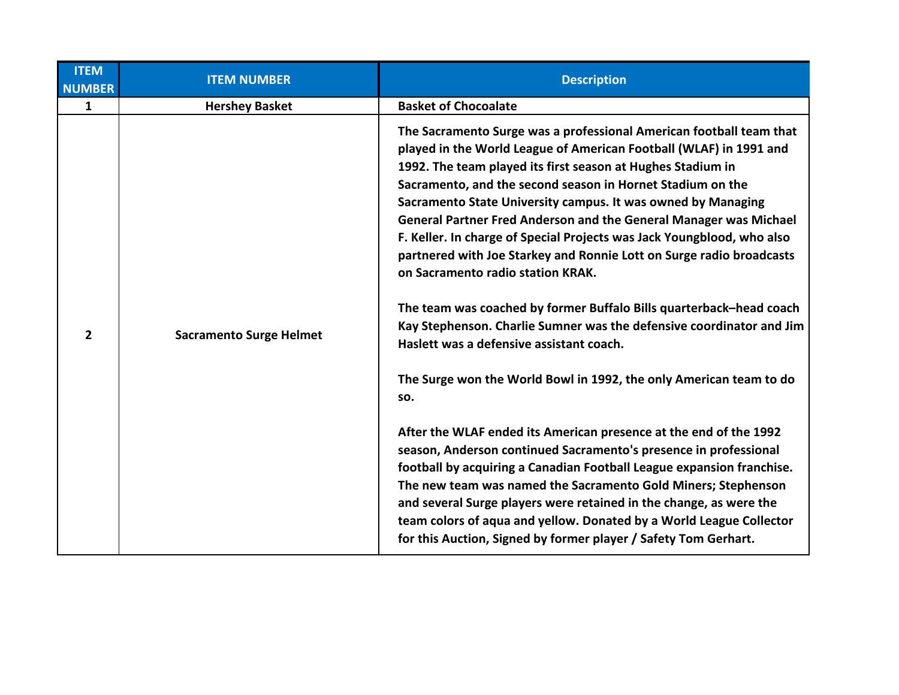| <b>ITEM NUMBER</b>             | <b>Description</b>                                                                                                                                                                                                                                                                                                                                                                                                                                                                                                                                                                                                                                                                                                                                                                                                                                                                                                                                                                                                                                                                                                                                                                                                                                                                                                                                                            |
|--------------------------------|-------------------------------------------------------------------------------------------------------------------------------------------------------------------------------------------------------------------------------------------------------------------------------------------------------------------------------------------------------------------------------------------------------------------------------------------------------------------------------------------------------------------------------------------------------------------------------------------------------------------------------------------------------------------------------------------------------------------------------------------------------------------------------------------------------------------------------------------------------------------------------------------------------------------------------------------------------------------------------------------------------------------------------------------------------------------------------------------------------------------------------------------------------------------------------------------------------------------------------------------------------------------------------------------------------------------------------------------------------------------------------|
| <b>Hershey Basket</b>          | <b>Basket of Chocoalate</b>                                                                                                                                                                                                                                                                                                                                                                                                                                                                                                                                                                                                                                                                                                                                                                                                                                                                                                                                                                                                                                                                                                                                                                                                                                                                                                                                                   |
| <b>Sacramento Surge Helmet</b> | The Sacramento Surge was a professional American football team that<br>played in the World League of American Football (WLAF) in 1991 and<br>1992. The team played its first season at Hughes Stadium in<br>Sacramento, and the second season in Hornet Stadium on the<br>Sacramento State University campus. It was owned by Managing<br>General Partner Fred Anderson and the General Manager was Michael<br>F. Keller. In charge of Special Projects was Jack Youngblood, who also<br>partnered with Joe Starkey and Ronnie Lott on Surge radio broadcasts<br>on Sacramento radio station KRAK.<br>The team was coached by former Buffalo Bills quarterback-head coach<br>Kay Stephenson. Charlie Sumner was the defensive coordinator and Jim<br>Haslett was a defensive assistant coach.<br>The Surge won the World Bowl in 1992, the only American team to do<br>SO.<br>After the WLAF ended its American presence at the end of the 1992<br>season, Anderson continued Sacramento's presence in professional<br>football by acquiring a Canadian Football League expansion franchise.<br>The new team was named the Sacramento Gold Miners; Stephenson<br>and several Surge players were retained in the change, as were the<br>team colors of aqua and yellow. Donated by a World League Collector<br>for this Auction, Signed by former player / Safety Tom Gerhart. |
|                                |                                                                                                                                                                                                                                                                                                                                                                                                                                                                                                                                                                                                                                                                                                                                                                                                                                                                                                                                                                                                                                                                                                                                                                                                                                                                                                                                                                               |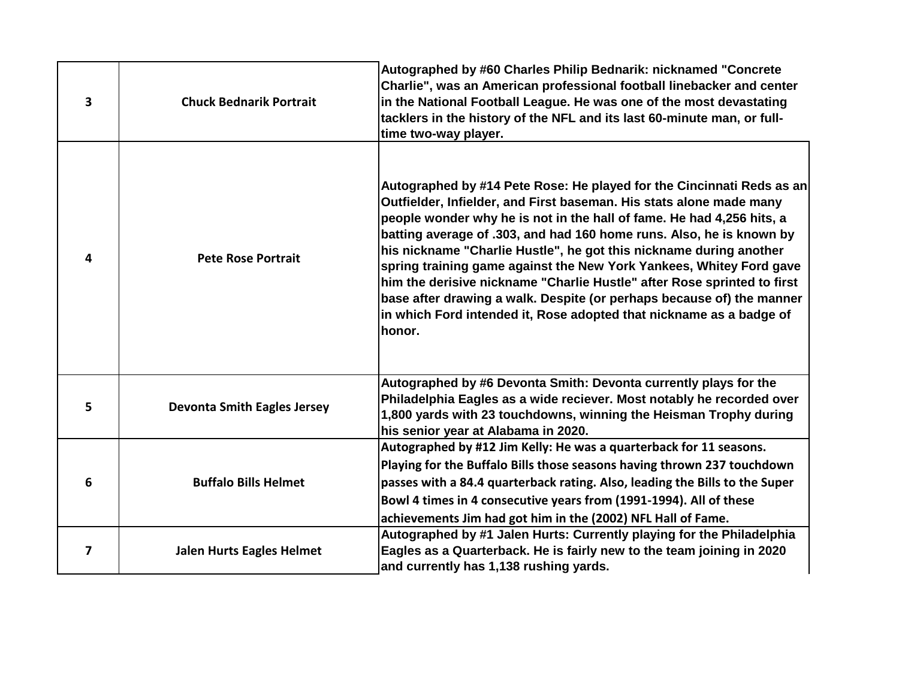| 3 | <b>Chuck Bednarik Portrait</b>     | Autographed by #60 Charles Philip Bednarik: nicknamed "Concrete<br>Charlie", was an American professional football linebacker and center<br>in the National Football League. He was one of the most devastating<br>tacklers in the history of the NFL and its last 60-minute man, or full-<br>time two-way player.                                                                                                                                                                                                                                                                                                                                                              |
|---|------------------------------------|---------------------------------------------------------------------------------------------------------------------------------------------------------------------------------------------------------------------------------------------------------------------------------------------------------------------------------------------------------------------------------------------------------------------------------------------------------------------------------------------------------------------------------------------------------------------------------------------------------------------------------------------------------------------------------|
| 4 | <b>Pete Rose Portrait</b>          | Autographed by #14 Pete Rose: He played for the Cincinnati Reds as an<br>Outfielder, Infielder, and First baseman. His stats alone made many<br>people wonder why he is not in the hall of fame. He had 4,256 hits, a<br>batting average of .303, and had 160 home runs. Also, he is known by<br>his nickname "Charlie Hustle", he got this nickname during another<br>spring training game against the New York Yankees, Whitey Ford gave<br>him the derisive nickname "Charlie Hustle" after Rose sprinted to first<br>base after drawing a walk. Despite (or perhaps because of) the manner<br>in which Ford intended it, Rose adopted that nickname as a badge of<br>honor. |
| 5 | <b>Devonta Smith Eagles Jersey</b> | Autographed by #6 Devonta Smith: Devonta currently plays for the<br>Philadelphia Eagles as a wide reciever. Most notably he recorded over<br>1,800 yards with 23 touchdowns, winning the Heisman Trophy during<br>his senior year at Alabama in 2020.                                                                                                                                                                                                                                                                                                                                                                                                                           |
| 6 | <b>Buffalo Bills Helmet</b>        | Autographed by #12 Jim Kelly: He was a quarterback for 11 seasons.<br>Playing for the Buffalo Bills those seasons having thrown 237 touchdown<br>passes with a 84.4 quarterback rating. Also, leading the Bills to the Super<br>Bowl 4 times in 4 consecutive years from (1991-1994). All of these<br>achievements Jim had got him in the (2002) NFL Hall of Fame.                                                                                                                                                                                                                                                                                                              |
| 7 | <b>Jalen Hurts Eagles Helmet</b>   | Autographed by #1 Jalen Hurts: Currently playing for the Philadelphia<br>Eagles as a Quarterback. He is fairly new to the team joining in 2020<br>and currently has 1,138 rushing yards.                                                                                                                                                                                                                                                                                                                                                                                                                                                                                        |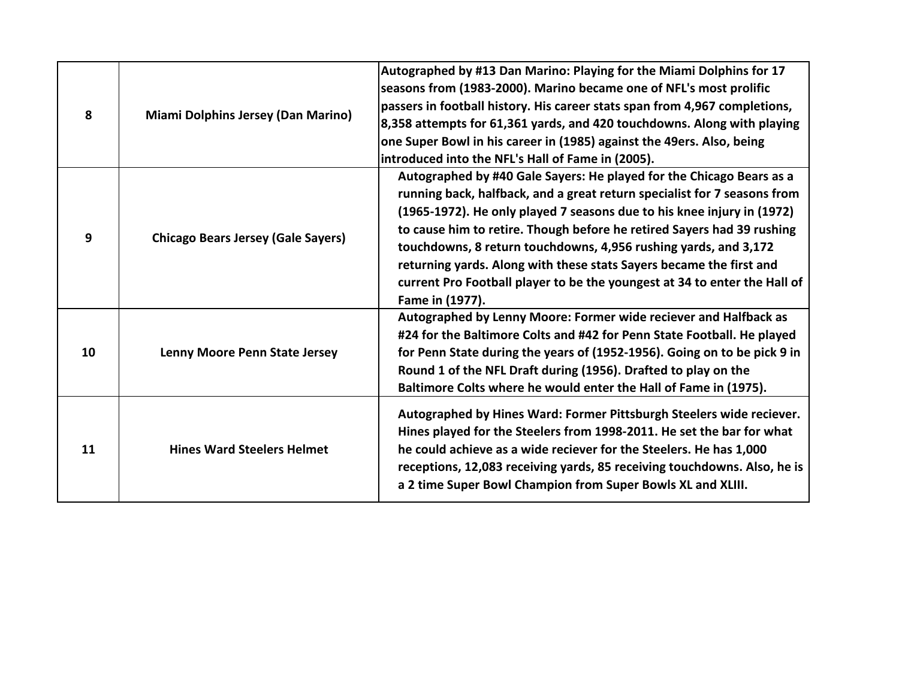| 8  | <b>Miami Dolphins Jersey (Dan Marino)</b> | Autographed by #13 Dan Marino: Playing for the Miami Dolphins for 17<br>seasons from (1983-2000). Marino became one of NFL's most prolific<br>passers in football history. His career stats span from 4,967 completions,<br>8,358 attempts for 61,361 yards, and 420 touchdowns. Along with playing<br>one Super Bowl in his career in (1985) against the 49ers. Also, being<br>introduced into the NFL's Hall of Fame in (2005).                                                                                                              |
|----|-------------------------------------------|------------------------------------------------------------------------------------------------------------------------------------------------------------------------------------------------------------------------------------------------------------------------------------------------------------------------------------------------------------------------------------------------------------------------------------------------------------------------------------------------------------------------------------------------|
| 9  | <b>Chicago Bears Jersey (Gale Sayers)</b> | Autographed by #40 Gale Sayers: He played for the Chicago Bears as a<br>running back, halfback, and a great return specialist for 7 seasons from<br>(1965-1972). He only played 7 seasons due to his knee injury in (1972)<br>to cause him to retire. Though before he retired Sayers had 39 rushing<br>touchdowns, 8 return touchdowns, 4,956 rushing yards, and 3,172<br>returning yards. Along with these stats Sayers became the first and<br>current Pro Football player to be the youngest at 34 to enter the Hall of<br>Fame in (1977). |
| 10 | Lenny Moore Penn State Jersey             | Autographed by Lenny Moore: Former wide reciever and Halfback as<br>#24 for the Baltimore Colts and #42 for Penn State Football. He played<br>for Penn State during the years of (1952-1956). Going on to be pick 9 in<br>Round 1 of the NFL Draft during (1956). Drafted to play on the<br>Baltimore Colts where he would enter the Hall of Fame in (1975).                                                                                                                                                                                   |
| 11 | <b>Hines Ward Steelers Helmet</b>         | Autographed by Hines Ward: Former Pittsburgh Steelers wide reciever.<br>Hines played for the Steelers from 1998-2011. He set the bar for what<br>he could achieve as a wide reciever for the Steelers. He has 1,000<br>receptions, 12,083 receiving yards, 85 receiving touchdowns. Also, he is<br>a 2 time Super Bowl Champion from Super Bowls XL and XLIII.                                                                                                                                                                                 |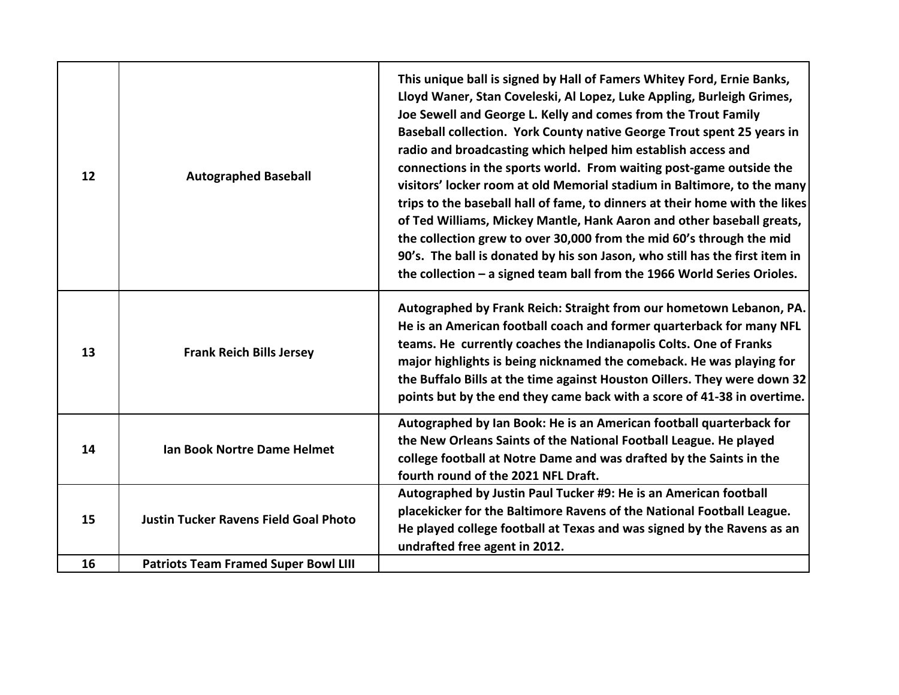| 12 | <b>Autographed Baseball</b>                  | This unique ball is signed by Hall of Famers Whitey Ford, Ernie Banks,<br>Lloyd Waner, Stan Coveleski, Al Lopez, Luke Appling, Burleigh Grimes,<br>Joe Sewell and George L. Kelly and comes from the Trout Family<br>Baseball collection. York County native George Trout spent 25 years in<br>radio and broadcasting which helped him establish access and<br>connections in the sports world. From waiting post-game outside the<br>visitors' locker room at old Memorial stadium in Baltimore, to the many<br>trips to the baseball hall of fame, to dinners at their home with the likes<br>of Ted Williams, Mickey Mantle, Hank Aaron and other baseball greats,<br>the collection grew to over 30,000 from the mid 60's through the mid<br>90's. The ball is donated by his son Jason, who still has the first item in<br>the collection $-$ a signed team ball from the 1966 World Series Orioles. |
|----|----------------------------------------------|-----------------------------------------------------------------------------------------------------------------------------------------------------------------------------------------------------------------------------------------------------------------------------------------------------------------------------------------------------------------------------------------------------------------------------------------------------------------------------------------------------------------------------------------------------------------------------------------------------------------------------------------------------------------------------------------------------------------------------------------------------------------------------------------------------------------------------------------------------------------------------------------------------------|
| 13 | <b>Frank Reich Bills Jersey</b>              | Autographed by Frank Reich: Straight from our hometown Lebanon, PA.<br>He is an American football coach and former quarterback for many NFL<br>teams. He currently coaches the Indianapolis Colts. One of Franks<br>major highlights is being nicknamed the comeback. He was playing for<br>the Buffalo Bills at the time against Houston Oillers. They were down 32<br>points but by the end they came back with a score of 41-38 in overtime.                                                                                                                                                                                                                                                                                                                                                                                                                                                           |
| 14 | Ian Book Nortre Dame Helmet                  | Autographed by Ian Book: He is an American football quarterback for<br>the New Orleans Saints of the National Football League. He played<br>college football at Notre Dame and was drafted by the Saints in the<br>fourth round of the 2021 NFL Draft.                                                                                                                                                                                                                                                                                                                                                                                                                                                                                                                                                                                                                                                    |
| 15 | <b>Justin Tucker Ravens Field Goal Photo</b> | Autographed by Justin Paul Tucker #9: He is an American football<br>placekicker for the Baltimore Ravens of the National Football League.<br>He played college football at Texas and was signed by the Ravens as an<br>undrafted free agent in 2012.                                                                                                                                                                                                                                                                                                                                                                                                                                                                                                                                                                                                                                                      |
| 16 | <b>Patriots Team Framed Super Bowl LIII</b>  |                                                                                                                                                                                                                                                                                                                                                                                                                                                                                                                                                                                                                                                                                                                                                                                                                                                                                                           |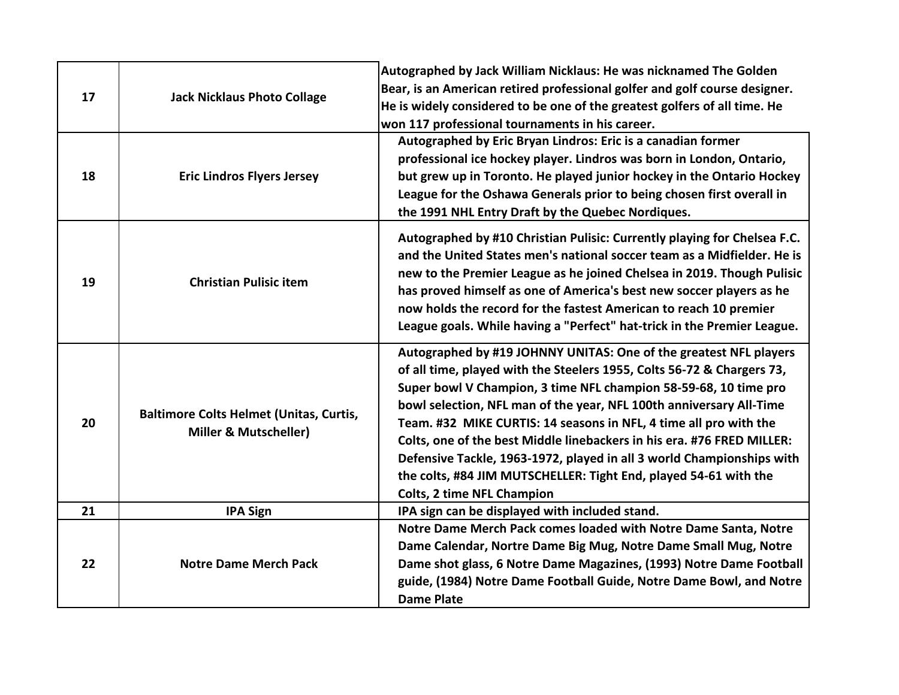| 17 | <b>Jack Nicklaus Photo Collage</b>                                                 | Autographed by Jack William Nicklaus: He was nicknamed The Golden<br>Bear, is an American retired professional golfer and golf course designer.<br>He is widely considered to be one of the greatest golfers of all time. He<br>won 117 professional tournaments in his career.                                                                                                                                                                                                                                                                                                                                         |
|----|------------------------------------------------------------------------------------|-------------------------------------------------------------------------------------------------------------------------------------------------------------------------------------------------------------------------------------------------------------------------------------------------------------------------------------------------------------------------------------------------------------------------------------------------------------------------------------------------------------------------------------------------------------------------------------------------------------------------|
| 18 | <b>Eric Lindros Flyers Jersey</b>                                                  | Autographed by Eric Bryan Lindros: Eric is a canadian former<br>professional ice hockey player. Lindros was born in London, Ontario,<br>but grew up in Toronto. He played junior hockey in the Ontario Hockey<br>League for the Oshawa Generals prior to being chosen first overall in<br>the 1991 NHL Entry Draft by the Quebec Nordiques.                                                                                                                                                                                                                                                                             |
| 19 | <b>Christian Pulisic item</b>                                                      | Autographed by #10 Christian Pulisic: Currently playing for Chelsea F.C.<br>and the United States men's national soccer team as a Midfielder. He is<br>new to the Premier League as he joined Chelsea in 2019. Though Pulisic<br>has proved himself as one of America's best new soccer players as he<br>now holds the record for the fastest American to reach 10 premier<br>League goals. While having a "Perfect" hat-trick in the Premier League.                                                                                                                                                                   |
| 20 | <b>Baltimore Colts Helmet (Unitas, Curtis,</b><br><b>Miller &amp; Mutscheller)</b> | Autographed by #19 JOHNNY UNITAS: One of the greatest NFL players<br>of all time, played with the Steelers 1955, Colts 56-72 & Chargers 73,<br>Super bowl V Champion, 3 time NFL champion 58-59-68, 10 time pro<br>bowl selection, NFL man of the year, NFL 100th anniversary All-Time<br>Team. #32 MIKE CURTIS: 14 seasons in NFL, 4 time all pro with the<br>Colts, one of the best Middle linebackers in his era. #76 FRED MILLER:<br>Defensive Tackle, 1963-1972, played in all 3 world Championships with<br>the colts, #84 JIM MUTSCHELLER: Tight End, played 54-61 with the<br><b>Colts, 2 time NFL Champion</b> |
| 21 | <b>IPA Sign</b>                                                                    | IPA sign can be displayed with included stand.                                                                                                                                                                                                                                                                                                                                                                                                                                                                                                                                                                          |
| 22 | <b>Notre Dame Merch Pack</b>                                                       | Notre Dame Merch Pack comes loaded with Notre Dame Santa, Notre<br>Dame Calendar, Nortre Dame Big Mug, Notre Dame Small Mug, Notre<br>Dame shot glass, 6 Notre Dame Magazines, (1993) Notre Dame Football<br>guide, (1984) Notre Dame Football Guide, Notre Dame Bowl, and Notre<br><b>Dame Plate</b>                                                                                                                                                                                                                                                                                                                   |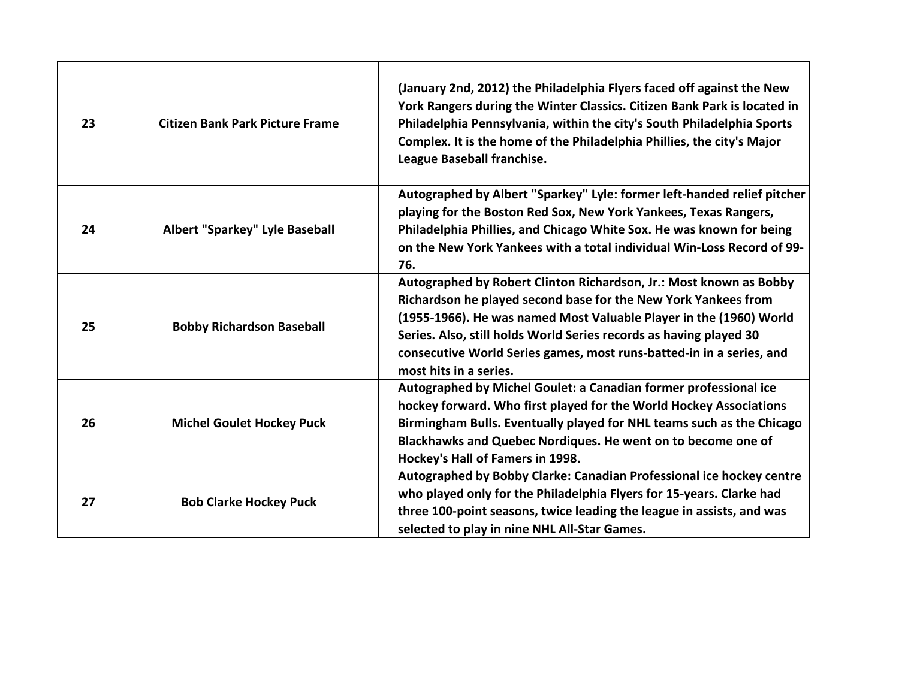| 23 | <b>Citizen Bank Park Picture Frame</b> | (January 2nd, 2012) the Philadelphia Flyers faced off against the New<br>York Rangers during the Winter Classics. Citizen Bank Park is located in<br>Philadelphia Pennsylvania, within the city's South Philadelphia Sports<br>Complex. It is the home of the Philadelphia Phillies, the city's Major<br>League Baseball franchise.                                                |
|----|----------------------------------------|------------------------------------------------------------------------------------------------------------------------------------------------------------------------------------------------------------------------------------------------------------------------------------------------------------------------------------------------------------------------------------|
| 24 | Albert "Sparkey" Lyle Baseball         | Autographed by Albert "Sparkey" Lyle: former left-handed relief pitcher<br>playing for the Boston Red Sox, New York Yankees, Texas Rangers,<br>Philadelphia Phillies, and Chicago White Sox. He was known for being<br>on the New York Yankees with a total individual Win-Loss Record of 99-<br>76.                                                                               |
| 25 | <b>Bobby Richardson Baseball</b>       | Autographed by Robert Clinton Richardson, Jr.: Most known as Bobby<br>Richardson he played second base for the New York Yankees from<br>(1955-1966). He was named Most Valuable Player in the (1960) World<br>Series. Also, still holds World Series records as having played 30<br>consecutive World Series games, most runs-batted-in in a series, and<br>most hits in a series. |
| 26 | <b>Michel Goulet Hockey Puck</b>       | Autographed by Michel Goulet: a Canadian former professional ice<br>hockey forward. Who first played for the World Hockey Associations<br>Birmingham Bulls. Eventually played for NHL teams such as the Chicago<br>Blackhawks and Quebec Nordiques. He went on to become one of<br>Hockey's Hall of Famers in 1998.                                                                |
| 27 | <b>Bob Clarke Hockey Puck</b>          | Autographed by Bobby Clarke: Canadian Professional ice hockey centre<br>who played only for the Philadelphia Flyers for 15-years. Clarke had<br>three 100-point seasons, twice leading the league in assists, and was<br>selected to play in nine NHL All-Star Games.                                                                                                              |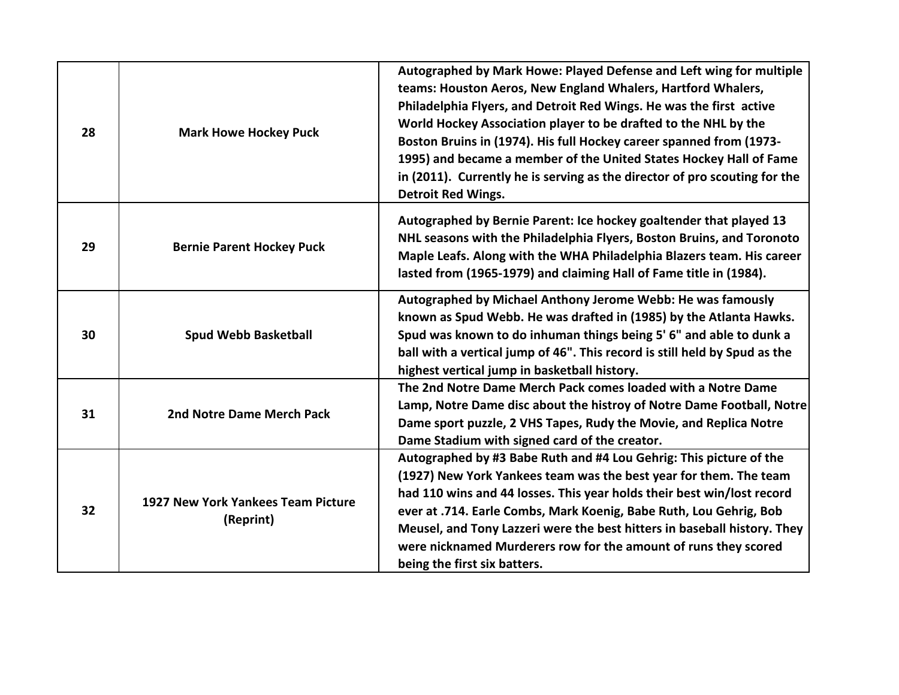| 28 | <b>Mark Howe Hockey Puck</b>                    | Autographed by Mark Howe: Played Defense and Left wing for multiple<br>teams: Houston Aeros, New England Whalers, Hartford Whalers,<br>Philadelphia Flyers, and Detroit Red Wings. He was the first active<br>World Hockey Association player to be drafted to the NHL by the<br>Boston Bruins in (1974). His full Hockey career spanned from (1973-<br>1995) and became a member of the United States Hockey Hall of Fame<br>in (2011). Currently he is serving as the director of pro scouting for the<br><b>Detroit Red Wings.</b> |
|----|-------------------------------------------------|---------------------------------------------------------------------------------------------------------------------------------------------------------------------------------------------------------------------------------------------------------------------------------------------------------------------------------------------------------------------------------------------------------------------------------------------------------------------------------------------------------------------------------------|
| 29 | <b>Bernie Parent Hockey Puck</b>                | Autographed by Bernie Parent: Ice hockey goaltender that played 13<br>NHL seasons with the Philadelphia Flyers, Boston Bruins, and Toronoto<br>Maple Leafs. Along with the WHA Philadelphia Blazers team. His career<br>lasted from (1965-1979) and claiming Hall of Fame title in (1984).                                                                                                                                                                                                                                            |
| 30 | <b>Spud Webb Basketball</b>                     | Autographed by Michael Anthony Jerome Webb: He was famously<br>known as Spud Webb. He was drafted in (1985) by the Atlanta Hawks.<br>Spud was known to do inhuman things being 5' 6" and able to dunk a<br>ball with a vertical jump of 46". This record is still held by Spud as the<br>highest vertical jump in basketball history.                                                                                                                                                                                                 |
| 31 | 2nd Notre Dame Merch Pack                       | The 2nd Notre Dame Merch Pack comes loaded with a Notre Dame<br>Lamp, Notre Dame disc about the histroy of Notre Dame Football, Notre<br>Dame sport puzzle, 2 VHS Tapes, Rudy the Movie, and Replica Notre<br>Dame Stadium with signed card of the creator.                                                                                                                                                                                                                                                                           |
| 32 | 1927 New York Yankees Team Picture<br>(Reprint) | Autographed by #3 Babe Ruth and #4 Lou Gehrig: This picture of the<br>(1927) New York Yankees team was the best year for them. The team<br>had 110 wins and 44 losses. This year holds their best win/lost record<br>ever at .714. Earle Combs, Mark Koenig, Babe Ruth, Lou Gehrig, Bob<br>Meusel, and Tony Lazzeri were the best hitters in baseball history. They<br>were nicknamed Murderers row for the amount of runs they scored<br>being the first six batters.                                                                |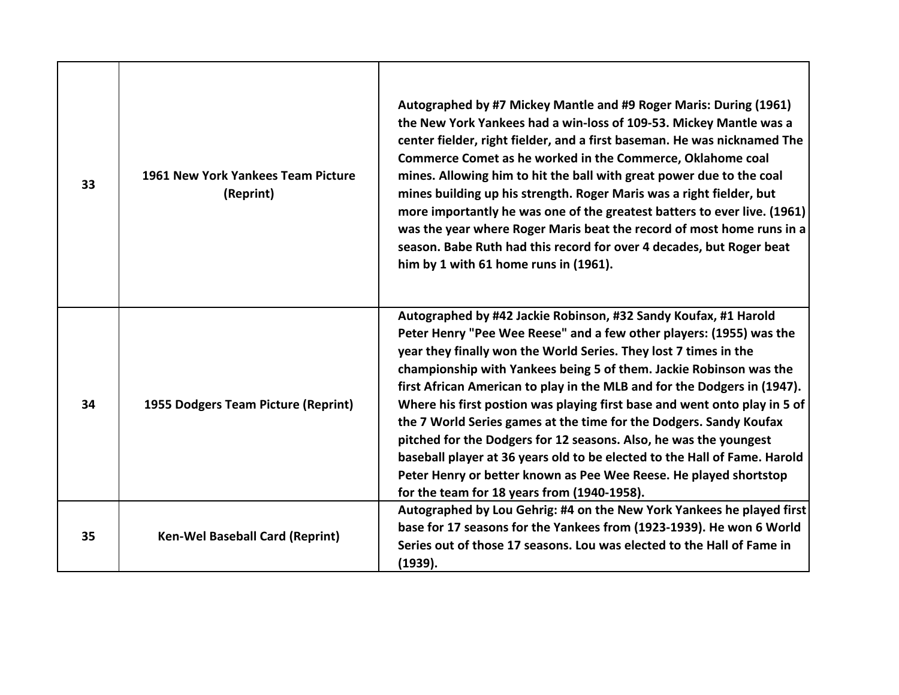| 33 | 1961 New York Yankees Team Picture<br>(Reprint) | Autographed by #7 Mickey Mantle and #9 Roger Maris: During (1961)<br>the New York Yankees had a win-loss of 109-53. Mickey Mantle was a<br>center fielder, right fielder, and a first baseman. He was nicknamed The<br>Commerce Comet as he worked in the Commerce, Oklahome coal<br>mines. Allowing him to hit the ball with great power due to the coal<br>mines building up his strength. Roger Maris was a right fielder, but<br>more importantly he was one of the greatest batters to ever live. (1961)<br>was the year where Roger Maris beat the record of most home runs in a<br>season. Babe Ruth had this record for over 4 decades, but Roger beat<br>him by 1 with 61 home runs in (1961).                                                                               |
|----|-------------------------------------------------|---------------------------------------------------------------------------------------------------------------------------------------------------------------------------------------------------------------------------------------------------------------------------------------------------------------------------------------------------------------------------------------------------------------------------------------------------------------------------------------------------------------------------------------------------------------------------------------------------------------------------------------------------------------------------------------------------------------------------------------------------------------------------------------|
| 34 | 1955 Dodgers Team Picture (Reprint)             | Autographed by #42 Jackie Robinson, #32 Sandy Koufax, #1 Harold<br>Peter Henry "Pee Wee Reese" and a few other players: (1955) was the<br>year they finally won the World Series. They lost 7 times in the<br>championship with Yankees being 5 of them. Jackie Robinson was the<br>first African American to play in the MLB and for the Dodgers in (1947).<br>Where his first postion was playing first base and went onto play in 5 of<br>the 7 World Series games at the time for the Dodgers. Sandy Koufax<br>pitched for the Dodgers for 12 seasons. Also, he was the youngest<br>baseball player at 36 years old to be elected to the Hall of Fame. Harold<br>Peter Henry or better known as Pee Wee Reese. He played shortstop<br>for the team for 18 years from (1940-1958). |
| 35 | <b>Ken-Wel Baseball Card (Reprint)</b>          | Autographed by Lou Gehrig: #4 on the New York Yankees he played first<br>base for 17 seasons for the Yankees from (1923-1939). He won 6 World<br>Series out of those 17 seasons. Lou was elected to the Hall of Fame in<br>(1939).                                                                                                                                                                                                                                                                                                                                                                                                                                                                                                                                                    |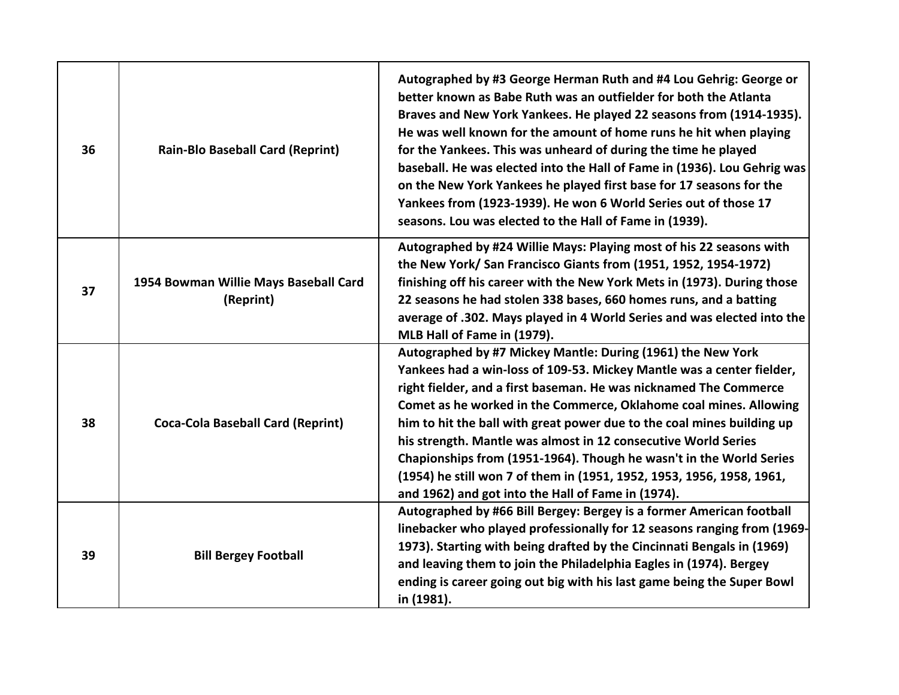| 36 | <b>Rain-Blo Baseball Card (Reprint)</b>            | Autographed by #3 George Herman Ruth and #4 Lou Gehrig: George or<br>better known as Babe Ruth was an outfielder for both the Atlanta<br>Braves and New York Yankees. He played 22 seasons from (1914-1935).<br>He was well known for the amount of home runs he hit when playing<br>for the Yankees. This was unheard of during the time he played<br>baseball. He was elected into the Hall of Fame in (1936). Lou Gehrig was<br>on the New York Yankees he played first base for 17 seasons for the<br>Yankees from (1923-1939). He won 6 World Series out of those 17<br>seasons. Lou was elected to the Hall of Fame in (1939). |
|----|----------------------------------------------------|--------------------------------------------------------------------------------------------------------------------------------------------------------------------------------------------------------------------------------------------------------------------------------------------------------------------------------------------------------------------------------------------------------------------------------------------------------------------------------------------------------------------------------------------------------------------------------------------------------------------------------------|
| 37 | 1954 Bowman Willie Mays Baseball Card<br>(Reprint) | Autographed by #24 Willie Mays: Playing most of his 22 seasons with<br>the New York/San Francisco Giants from (1951, 1952, 1954-1972)<br>finishing off his career with the New York Mets in (1973). During those<br>22 seasons he had stolen 338 bases, 660 homes runs, and a batting<br>average of .302. Mays played in 4 World Series and was elected into the<br>MLB Hall of Fame in (1979).                                                                                                                                                                                                                                      |
| 38 | <b>Coca-Cola Baseball Card (Reprint)</b>           | Autographed by #7 Mickey Mantle: During (1961) the New York<br>Yankees had a win-loss of 109-53. Mickey Mantle was a center fielder,<br>right fielder, and a first baseman. He was nicknamed The Commerce<br>Comet as he worked in the Commerce, Oklahome coal mines. Allowing<br>him to hit the ball with great power due to the coal mines building up<br>his strength. Mantle was almost in 12 consecutive World Series<br>Chapionships from (1951-1964). Though he wasn't in the World Series<br>(1954) he still won 7 of them in (1951, 1952, 1953, 1956, 1958, 1961,<br>and 1962) and got into the Hall of Fame in (1974).     |
| 39 | <b>Bill Bergey Football</b>                        | Autographed by #66 Bill Bergey: Bergey is a former American football<br>linebacker who played professionally for 12 seasons ranging from (1969-<br>1973). Starting with being drafted by the Cincinnati Bengals in (1969)<br>and leaving them to join the Philadelphia Eagles in (1974). Bergey<br>ending is career going out big with his last game being the Super Bowl<br>in (1981).                                                                                                                                                                                                                                              |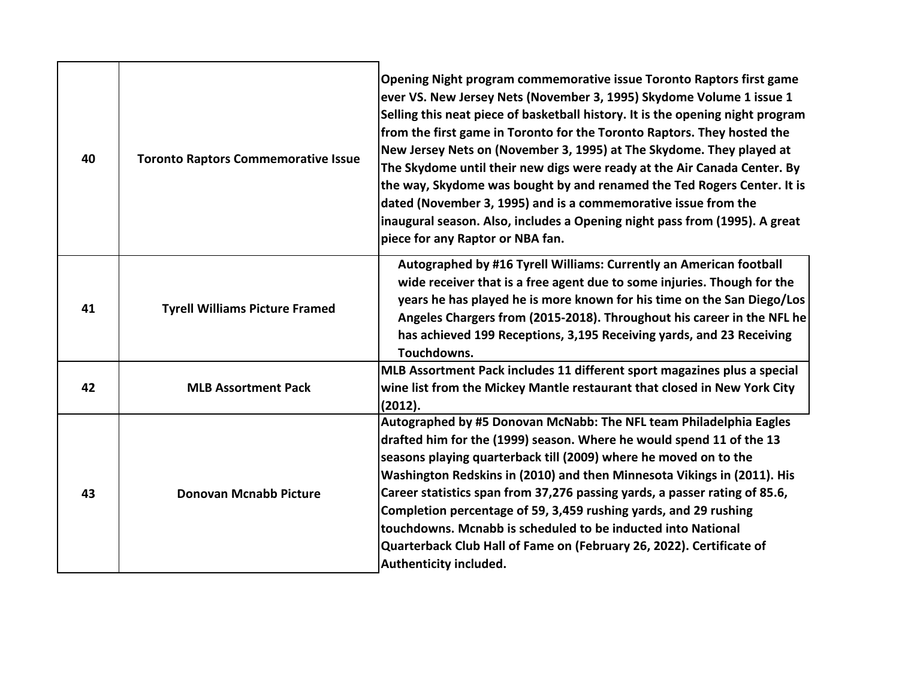| 40 | <b>Toronto Raptors Commemorative Issue</b> | Opening Night program commemorative issue Toronto Raptors first game<br>ever VS. New Jersey Nets (November 3, 1995) Skydome Volume 1 issue 1<br>Selling this neat piece of basketball history. It is the opening night program<br>from the first game in Toronto for the Toronto Raptors. They hosted the<br>New Jersey Nets on (November 3, 1995) at The Skydome. They played at<br>The Skydome until their new digs were ready at the Air Canada Center. By<br>the way, Skydome was bought by and renamed the Ted Rogers Center. It is<br>dated (November 3, 1995) and is a commemorative issue from the<br>inaugural season. Also, includes a Opening night pass from (1995). A great<br>piece for any Raptor or NBA fan. |
|----|--------------------------------------------|------------------------------------------------------------------------------------------------------------------------------------------------------------------------------------------------------------------------------------------------------------------------------------------------------------------------------------------------------------------------------------------------------------------------------------------------------------------------------------------------------------------------------------------------------------------------------------------------------------------------------------------------------------------------------------------------------------------------------|
| 41 | <b>Tyrell Williams Picture Framed</b>      | Autographed by #16 Tyrell Williams: Currently an American football<br>wide receiver that is a free agent due to some injuries. Though for the<br>years he has played he is more known for his time on the San Diego/Los<br>Angeles Chargers from (2015-2018). Throughout his career in the NFL he<br>has achieved 199 Receptions, 3,195 Receiving yards, and 23 Receiving<br>Touchdowns.                                                                                                                                                                                                                                                                                                                                     |
| 42 | <b>MLB Assortment Pack</b>                 | MLB Assortment Pack includes 11 different sport magazines plus a special<br>wine list from the Mickey Mantle restaurant that closed in New York City<br>(2012).                                                                                                                                                                                                                                                                                                                                                                                                                                                                                                                                                              |
| 43 | <b>Donovan Mcnabb Picture</b>              | Autographed by #5 Donovan McNabb: The NFL team Philadelphia Eagles<br>drafted him for the (1999) season. Where he would spend 11 of the 13<br>seasons playing quarterback till (2009) where he moved on to the<br>Washington Redskins in (2010) and then Minnesota Vikings in (2011). His<br>Career statistics span from 37,276 passing yards, a passer rating of 85.6,<br>Completion percentage of 59, 3,459 rushing yards, and 29 rushing<br>touchdowns. Mcnabb is scheduled to be inducted into National<br>Quarterback Club Hall of Fame on (February 26, 2022). Certificate of<br>Authenticity included.                                                                                                                |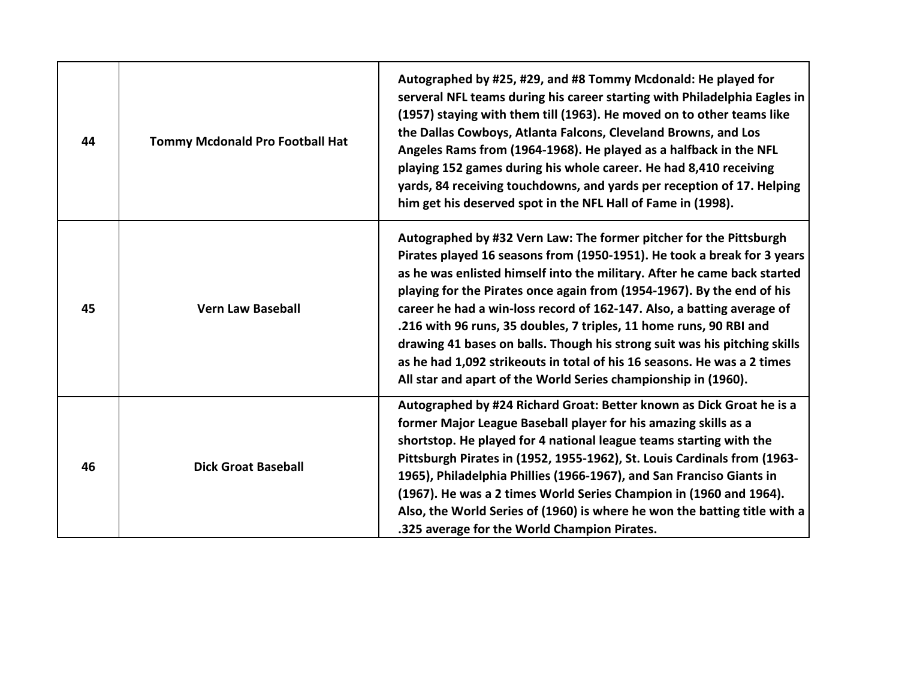| 44 | Tommy Mcdonald Pro Football Hat | Autographed by #25, #29, and #8 Tommy Mcdonald: He played for<br>serveral NFL teams during his career starting with Philadelphia Eagles in<br>(1957) staying with them till (1963). He moved on to other teams like<br>the Dallas Cowboys, Atlanta Falcons, Cleveland Browns, and Los<br>Angeles Rams from (1964-1968). He played as a halfback in the NFL<br>playing 152 games during his whole career. He had 8,410 receiving<br>yards, 84 receiving touchdowns, and yards per reception of 17. Helping<br>him get his deserved spot in the NFL Hall of Fame in (1998).                                                                                                     |
|----|---------------------------------|-------------------------------------------------------------------------------------------------------------------------------------------------------------------------------------------------------------------------------------------------------------------------------------------------------------------------------------------------------------------------------------------------------------------------------------------------------------------------------------------------------------------------------------------------------------------------------------------------------------------------------------------------------------------------------|
| 45 | <b>Vern Law Baseball</b>        | Autographed by #32 Vern Law: The former pitcher for the Pittsburgh<br>Pirates played 16 seasons from (1950-1951). He took a break for 3 years<br>as he was enlisted himself into the military. After he came back started<br>playing for the Pirates once again from (1954-1967). By the end of his<br>career he had a win-loss record of 162-147. Also, a batting average of<br>.216 with 96 runs, 35 doubles, 7 triples, 11 home runs, 90 RBI and<br>drawing 41 bases on balls. Though his strong suit was his pitching skills<br>as he had 1,092 strikeouts in total of his 16 seasons. He was a 2 times<br>All star and apart of the World Series championship in (1960). |
| 46 | <b>Dick Groat Baseball</b>      | Autographed by #24 Richard Groat: Better known as Dick Groat he is a<br>former Major League Baseball player for his amazing skills as a<br>shortstop. He played for 4 national league teams starting with the<br>Pittsburgh Pirates in (1952, 1955-1962), St. Louis Cardinals from (1963-<br>1965), Philadelphia Phillies (1966-1967), and San Franciso Giants in<br>(1967). He was a 2 times World Series Champion in (1960 and 1964).<br>Also, the World Series of (1960) is where he won the batting title with a<br>.325 average for the World Champion Pirates.                                                                                                          |